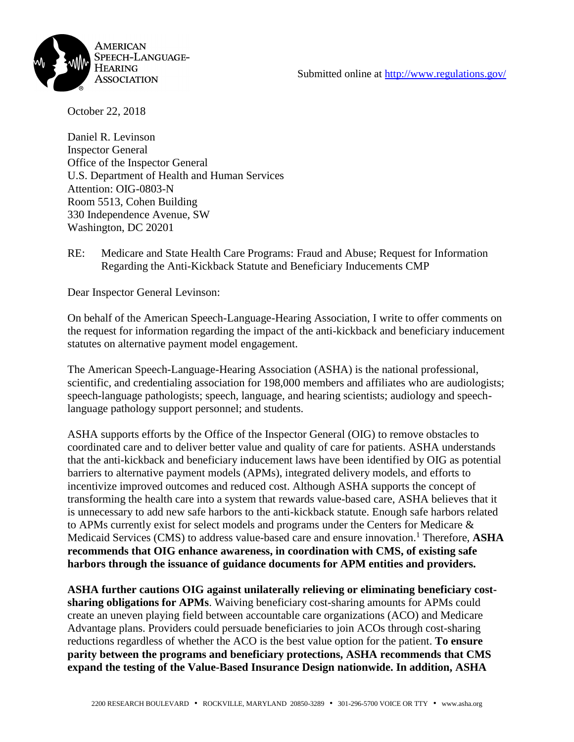



October 22, 2018

Daniel R. Levinson Inspector General Office of the Inspector General U.S. Department of Health and Human Services Attention: OIG-0803-N Room 5513, Cohen Building 330 Independence Avenue, SW Washington, DC 20201

RE: Medicare and State Health Care Programs: Fraud and Abuse; Request for Information Regarding the Anti-Kickback Statute and Beneficiary Inducements CMP

Dear Inspector General Levinson:

On behalf of the American Speech-Language-Hearing Association, I write to offer comments on the request for information regarding the impact of the anti-kickback and beneficiary inducement statutes on alternative payment model engagement.

The American Speech-Language-Hearing Association (ASHA) is the national professional, scientific, and credentialing association for 198,000 members and affiliates who are audiologists; speech-language pathologists; speech, language, and hearing scientists; audiology and speechlanguage pathology support personnel; and students.

ASHA supports efforts by the Office of the Inspector General (OIG) to remove obstacles to coordinated care and to deliver better value and quality of care for patients. ASHA understands that the anti-kickback and beneficiary inducement laws have been identified by OIG as potential barriers to alternative payment models (APMs), integrated delivery models, and efforts to incentivize improved outcomes and reduced cost. Although ASHA supports the concept of transforming the health care into a system that rewards value-based care, ASHA believes that it is unnecessary to add new safe harbors to the anti-kickback statute. Enough safe harbors related to APMs currently exist for select models and programs under the Centers for Medicare & Medicaid Services (CMS) to address value-based care and ensure innovation. <sup>1</sup> Therefore, **ASHA recommends that OIG enhance awareness, in coordination with CMS, of existing safe harbors through the issuance of guidance documents for APM entities and providers.**

**ASHA further cautions OIG against unilaterally relieving or eliminating beneficiary costsharing obligations for APMs**. Waiving beneficiary cost-sharing amounts for APMs could create an uneven playing field between accountable care organizations (ACO) and Medicare Advantage plans. Providers could persuade beneficiaries to join ACOs through cost-sharing reductions regardless of whether the ACO is the best value option for the patient. **To ensure parity between the programs and beneficiary protections, ASHA recommends that CMS expand the testing of the Value-Based Insurance Design nationwide. In addition, ASHA**